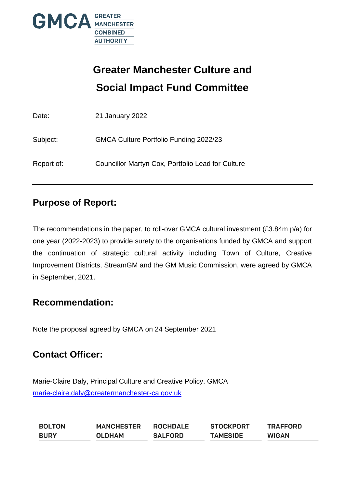

# **Greater Manchester Culture and Social Impact Fund Committee**

| Date:      | 21 January 2022                                   |
|------------|---------------------------------------------------|
| Subject:   | GMCA Culture Portfolio Funding 2022/23            |
| Report of: | Councillor Martyn Cox, Portfolio Lead for Culture |

# **Purpose of Report:**

The recommendations in the paper, to roll-over GMCA cultural investment (£3.84m p/a) for one year (2022-2023) to provide surety to the organisations funded by GMCA and support the continuation of strategic cultural activity including Town of Culture, Creative Improvement Districts, StreamGM and the GM Music Commission, were agreed by GMCA in September, 2021.

# **Recommendation:**

Note the proposal agreed by GMCA on 24 September 2021

# **Contact Officer:**

Marie-Claire Daly, Principal Culture and Creative Policy, GMCA [marie-claire.daly@greatermanchester-ca.gov.uk](mailto:marie-claire.daly@greatermanchester-ca.gov.uk)

| <b>BOLTON</b> | <b>MANCHESTER</b> | <b>ROCHDALE</b> | <b>STOCKPORT</b> | <b>TRAFFORD</b> |
|---------------|-------------------|-----------------|------------------|-----------------|
| <b>BURY</b>   | <b>OLDHAM</b>     | <b>SALFORD</b>  | <b>TAMESIDE</b>  | <b>WIGAN</b>    |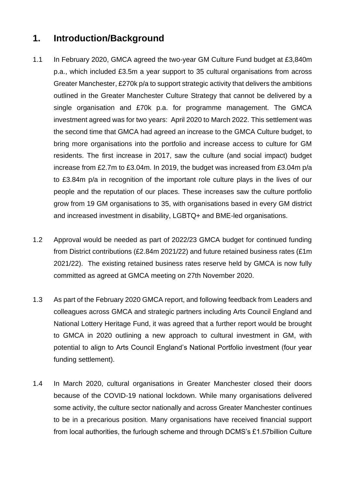### **1. Introduction/Background**

- 1.1 In February 2020, GMCA agreed the two-year GM Culture Fund budget at £3,840m p.a., which included £3.5m a year support to 35 cultural organisations from across Greater Manchester, £270k p/a to support strategic activity that delivers the ambitions outlined in the Greater Manchester Culture Strategy that cannot be delivered by a single organisation and £70k p.a. for programme management. The GMCA investment agreed was for two years: April 2020 to March 2022. This settlement was the second time that GMCA had agreed an increase to the GMCA Culture budget, to bring more organisations into the portfolio and increase access to culture for GM residents. The first increase in 2017, saw the culture (and social impact) budget increase from £2.7m to £3.04m. In 2019, the budget was increased from £3.04m p/a to £3.84m p/a in recognition of the important role culture plays in the lives of our people and the reputation of our places. These increases saw the culture portfolio grow from 19 GM organisations to 35, with organisations based in every GM district and increased investment in disability, LGBTQ+ and BME-led organisations.
- 1.2 Approval would be needed as part of 2022/23 GMCA budget for continued funding from District contributions (£2.84m 2021/22) and future retained business rates (£1m 2021/22). The existing retained business rates reserve held by GMCA is now fully committed as agreed at GMCA meeting on 27th November 2020.
- 1.3 As part of the February 2020 GMCA report, and following feedback from Leaders and colleagues across GMCA and strategic partners including Arts Council England and National Lottery Heritage Fund, it was agreed that a further report would be brought to GMCA in 2020 outlining a new approach to cultural investment in GM, with potential to align to Arts Council England's National Portfolio investment (four year funding settlement).
- 1.4 In March 2020, cultural organisations in Greater Manchester closed their doors because of the COVID-19 national lockdown. While many organisations delivered some activity, the culture sector nationally and across Greater Manchester continues to be in a precarious position. Many organisations have received financial support from local authorities, the furlough scheme and through DCMS's £1.57billion Culture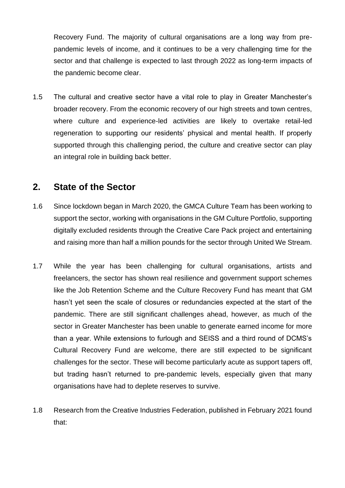Recovery Fund. The majority of cultural organisations are a long way from prepandemic levels of income, and it continues to be a very challenging time for the sector and that challenge is expected to last through 2022 as long-term impacts of the pandemic become clear.

1.5 The cultural and creative sector have a vital role to play in Greater Manchester's broader recovery. From the economic recovery of our high streets and town centres, where culture and experience-led activities are likely to overtake retail-led regeneration to supporting our residents' physical and mental health. If properly supported through this challenging period, the culture and creative sector can play an integral role in building back better.

### **2. State of the Sector**

- 1.6 Since lockdown began in March 2020, the GMCA Culture Team has been working to support the sector, working with organisations in the GM Culture Portfolio, supporting digitally excluded residents through the Creative Care Pack project and entertaining and raising more than half a million pounds for the sector through United We Stream.
- 1.7 While the year has been challenging for cultural organisations, artists and freelancers, the sector has shown real resilience and government support schemes like the Job Retention Scheme and the Culture Recovery Fund has meant that GM hasn't yet seen the scale of closures or redundancies expected at the start of the pandemic. There are still significant challenges ahead, however, as much of the sector in Greater Manchester has been unable to generate earned income for more than a year. While extensions to furlough and SEISS and a third round of DCMS's Cultural Recovery Fund are welcome, there are still expected to be significant challenges for the sector. These will become particularly acute as support tapers off, but trading hasn't returned to pre-pandemic levels, especially given that many organisations have had to deplete reserves to survive.
- 1.8 Research from the Creative Industries Federation, published in February 2021 found that: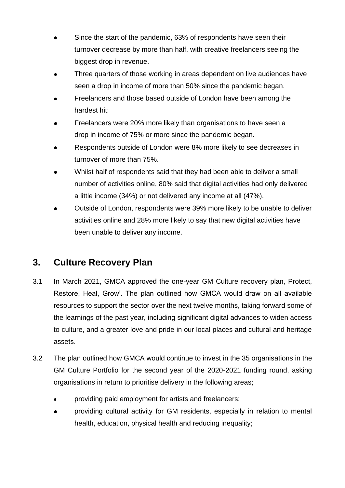- Since the start of the pandemic, 63% of respondents have seen their turnover decrease by more than half, with creative freelancers seeing the biggest drop in revenue.
- Three quarters of those working in areas dependent on live audiences have seen a drop in income of more than 50% since the pandemic began.
- Freelancers and those based outside of London have been among the hardest hit:
- Freelancers were 20% more likely than organisations to have seen a drop in income of 75% or more since the pandemic began.
- Respondents outside of London were 8% more likely to see decreases in  $\bullet$ turnover of more than 75%.
- Whilst half of respondents said that they had been able to deliver a small number of activities online, 80% said that digital activities had only delivered a little income (34%) or not delivered any income at all (47%).
- Outside of London, respondents were 39% more likely to be unable to deliver activities online and 28% more likely to say that new digital activities have been unable to deliver any income.

# **3. Culture Recovery Plan**

- 3.1 In March 2021, GMCA approved the one-year GM Culture recovery plan, Protect, Restore, Heal, Grow'. The plan outlined how GMCA would draw on all available resources to support the sector over the next twelve months, taking forward some of the learnings of the past year, including significant digital advances to widen access to culture, and a greater love and pride in our local places and cultural and heritage assets.
- 3.2 The plan outlined how GMCA would continue to invest in the 35 organisations in the GM Culture Portfolio for the second year of the 2020-2021 funding round, asking organisations in return to prioritise delivery in the following areas;
	- providing paid employment for artists and freelancers;
	- providing cultural activity for GM residents, especially in relation to mental health, education, physical health and reducing inequality;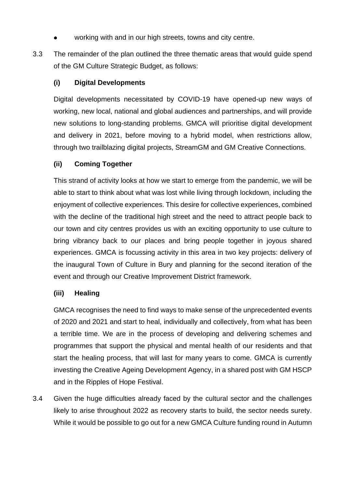- working with and in our high streets, towns and city centre.
- 3.3 The remainder of the plan outlined the three thematic areas that would guide spend of the GM Culture Strategic Budget, as follows:

#### **(i) Digital Developments**

Digital developments necessitated by COVID-19 have opened-up new ways of working, new local, national and global audiences and partnerships, and will provide new solutions to long-standing problems. GMCA will prioritise digital development and delivery in 2021, before moving to a hybrid model, when restrictions allow, through two trailblazing digital projects, StreamGM and GM Creative Connections.

#### **(ii) Coming Together**

This strand of activity looks at how we start to emerge from the pandemic, we will be able to start to think about what was lost while living through lockdown, including the enjoyment of collective experiences. This desire for collective experiences, combined with the decline of the traditional high street and the need to attract people back to our town and city centres provides us with an exciting opportunity to use culture to bring vibrancy back to our places and bring people together in joyous shared experiences. GMCA is focussing activity in this area in two key projects: delivery of the inaugural Town of Culture in Bury and planning for the second iteration of the event and through our Creative Improvement District framework.

#### **(iii) Healing**

GMCA recognises the need to find ways to make sense of the unprecedented events of 2020 and 2021 and start to heal, individually and collectively, from what has been a terrible time. We are in the process of developing and delivering schemes and programmes that support the physical and mental health of our residents and that start the healing process, that will last for many years to come. GMCA is currently investing the Creative Ageing Development Agency, in a shared post with GM HSCP and in the Ripples of Hope Festival.

3.4 Given the huge difficulties already faced by the cultural sector and the challenges likely to arise throughout 2022 as recovery starts to build, the sector needs surety. While it would be possible to go out for a new GMCA Culture funding round in Autumn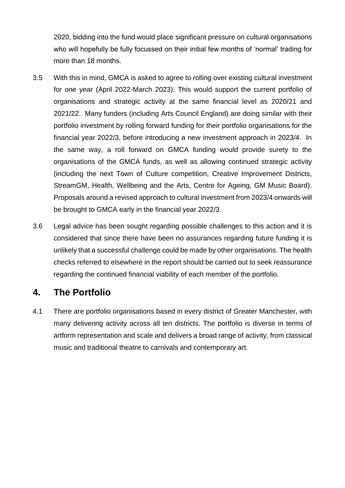2020, bidding into the fund would place significant pressure on cultural organisations who will hopefully be fully focussed on their initial few months of 'normal' trading for more than 18 months.

- 3.5 With this in mind, GMCA is asked to agree to rolling over existing cultural investment for one year (April 2022-March 2023). This would support the current portfolio of organisations and strategic activity at the same financial level as 2020/21 and 2021/22. Many funders (including Arts Council England) are doing similar with their portfolio investment by rolling forward funding for their portfolio organisations for the financial year 2022/3, before introducing a new investment approach in 2023/4. In the same way, a roll forward on GMCA funding would provide surety to the organisations of the GMCA funds, as well as allowing continued strategic activity (including the next Town of Culture competition, Creative Improvement Districts, StreamGM, Health, Wellbeing and the Arts, Centre for Ageing, GM Music Board). Proposals around a revised approach to cultural investment from 2023/4 onwards will be brought to GMCA early in the financial year 2022/3.
- 3.6 Legal advice has been sought regarding possible challenges to this action and it is considered that since there have been no assurances regarding future funding it is unlikely that a successful challenge could be made by other organisations. The health checks referred to elsewhere in the report should be carried out to seek reassurance regarding the continued financial viability of each member of the portfolio.

# **4. The Portfolio**

4.1 There are portfolio organisations based in every district of Greater Manchester, with many delivering activity across all ten districts. The portfolio is diverse in terms of artform representation and scale and delivers a broad range of activity, from classical music and traditional theatre to carnivals and contemporary art.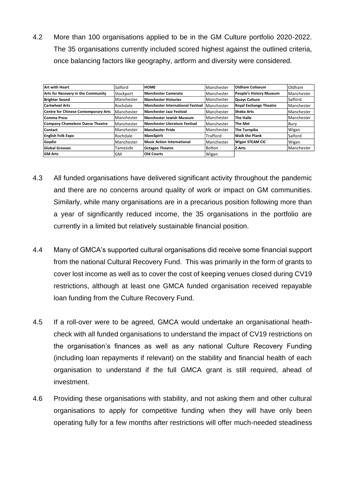4.2 More than 100 organisations applied to be in the GM Culture portfolio 2020-2022. The 35 organisations currently included scored highest against the outlined criteria, once balancing factors like geography, artform and diversity were considered.

| <b>Art with Heart</b>                       | Salford           | <b>Іном</b> е                            | Manchester | <b>Oldham Coliseum</b>        | Oldham     |
|---------------------------------------------|-------------------|------------------------------------------|------------|-------------------------------|------------|
| Arts for Recovery in the Community          | Stockport         | <b>Manchester Camerata</b>               | Manchester | People's History Museum       | Manchester |
| <b>Brighter Sound</b>                       | <b>Manchester</b> | <b>Manchester Histories</b>              | Manchester | Quays Culture                 | Salford    |
| <b>Cartwheel Arts</b>                       | Rochdale          | <b>Manchester International Festival</b> | Manchester | <b>Royal Exchange Theatre</b> | Manchester |
| <b>Centre for Chinese Contemporary Arts</b> | <b>Manchester</b> | <b>Manchester Jazz Festival</b>          | Manchester | Sheba Arts                    | Manchester |
| Comma Press                                 | <b>Manchester</b> | Manchester Jewish Museum                 | Manchester | The Halle                     | Manchester |
| <b>Company Chameleon Dance Theatre</b>      | <b>Manchester</b> | Manchester Literature Festival           | Manchester | The Met                       | Bury       |
| Contact                                     | <b>Manchester</b> | Manchester Pride                         | Manchester | <b>The Turnpike</b>           | Wigan      |
| <b>English Folk Expo</b>                    | Rochdale          | MancSpirit                               | Trafford   | <b>Walk the Plank</b>         | Salford    |
| Gaydio                                      | <b>Manchester</b> | Music Action International               | Manchester | <b>Wigan STEAM CIC</b>        | Wigan      |
| <b>Global Grooves</b>                       | Tameside          | <b>Octagon Theatre</b>                   | Bolton     | Z-Arts                        | Manchester |
| <b>GM Arts</b>                              | lGM               | Old Courts                               | Wigan      |                               |            |

- 4.3 All funded organisations have delivered significant activity throughout the pandemic and there are no concerns around quality of work or impact on GM communities. Similarly, while many organisations are in a precarious position following more than a year of significantly reduced income, the 35 organisations in the portfolio are currently in a limited but relatively sustainable financial position.
- 4.4 Many of GMCA's supported cultural organisations did receive some financial support from the national Cultural Recovery Fund. This was primarily in the form of grants to cover lost income as well as to cover the cost of keeping venues closed during CV19 restrictions, although at least one GMCA funded organisation received repayable loan funding from the Culture Recovery Fund.
- 4.5 If a roll-over were to be agreed, GMCA would undertake an organisational heathcheck with all funded organisations to understand the impact of CV19 restrictions on the organisation's finances as well as any national Culture Recovery Funding (including loan repayments if relevant) on the stability and financial health of each organisation to understand if the full GMCA grant is still required, ahead of investment.
- 4.6 Providing these organisations with stability, and not asking them and other cultural organisations to apply for competitive funding when they will have only been operating fully for a few months after restrictions will offer much-needed steadiness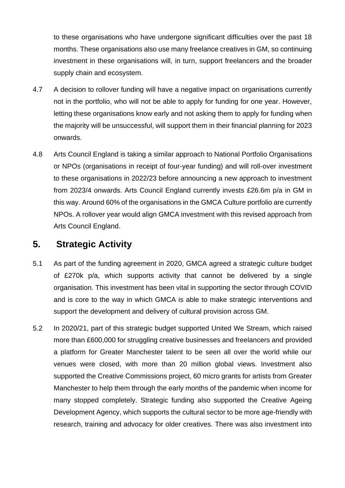to these organisations who have undergone significant difficulties over the past 18 months. These organisations also use many freelance creatives in GM, so continuing investment in these organisations will, in turn, support freelancers and the broader supply chain and ecosystem.

- 4.7 A decision to rollover funding will have a negative impact on organisations currently not in the portfolio, who will not be able to apply for funding for one year. However, letting these organisations know early and not asking them to apply for funding when the majority will be unsuccessful, will support them in their financial planning for 2023 onwards.
- 4.8 Arts Council England is taking a similar approach to National Portfolio Organisations or NPOs (organisations in receipt of four-year funding) and will roll-over investment to these organisations in 2022/23 before announcing a new approach to investment from 2023/4 onwards. Arts Council England currently invests £26.6m p/a in GM in this way. Around 60% of the organisations in the GMCA Culture portfolio are currently NPOs. A rollover year would align GMCA investment with this revised approach from Arts Council England.

### **5. Strategic Activity**

- 5.1 As part of the funding agreement in 2020, GMCA agreed a strategic culture budget of £270k p/a, which supports activity that cannot be delivered by a single organisation. This investment has been vital in supporting the sector through COVID and is core to the way in which GMCA is able to make strategic interventions and support the development and delivery of cultural provision across GM.
- 5.2 In 2020/21, part of this strategic budget supported United We Stream, which raised more than £600,000 for struggling creative businesses and freelancers and provided a platform for Greater Manchester talent to be seen all over the world while our venues were closed, with more than 20 million global views. Investment also supported the Creative Commissions project, 60 micro grants for artists from Greater Manchester to help them through the early months of the pandemic when income for many stopped completely. Strategic funding also supported the Creative Ageing Development Agency, which supports the cultural sector to be more age-friendly with research, training and advocacy for older creatives. There was also investment into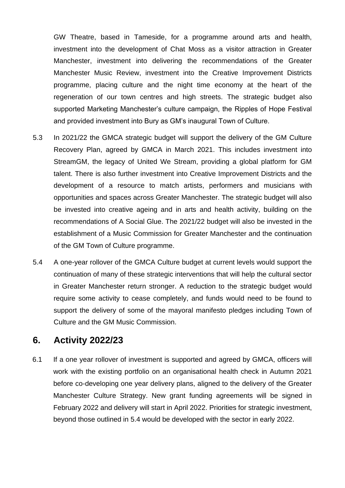GW Theatre, based in Tameside, for a programme around arts and health, investment into the development of Chat Moss as a visitor attraction in Greater Manchester, investment into delivering the recommendations of the Greater Manchester Music Review, investment into the Creative Improvement Districts programme, placing culture and the night time economy at the heart of the regeneration of our town centres and high streets. The strategic budget also supported Marketing Manchester's culture campaign, the Ripples of Hope Festival and provided investment into Bury as GM's inaugural Town of Culture.

- 5.3 In 2021/22 the GMCA strategic budget will support the delivery of the GM Culture Recovery Plan, agreed by GMCA in March 2021. This includes investment into StreamGM, the legacy of United We Stream, providing a global platform for GM talent. There is also further investment into Creative Improvement Districts and the development of a resource to match artists, performers and musicians with opportunities and spaces across Greater Manchester. The strategic budget will also be invested into creative ageing and in arts and health activity, building on the recommendations of A Social Glue. The 2021/22 budget will also be invested in the establishment of a Music Commission for Greater Manchester and the continuation of the GM Town of Culture programme.
- 5.4 A one-year rollover of the GMCA Culture budget at current levels would support the continuation of many of these strategic interventions that will help the cultural sector in Greater Manchester return stronger. A reduction to the strategic budget would require some activity to cease completely, and funds would need to be found to support the delivery of some of the mayoral manifesto pledges including Town of Culture and the GM Music Commission.

#### **6. Activity 2022/23**

6.1 If a one year rollover of investment is supported and agreed by GMCA, officers will work with the existing portfolio on an organisational health check in Autumn 2021 before co-developing one year delivery plans, aligned to the delivery of the Greater Manchester Culture Strategy. New grant funding agreements will be signed in February 2022 and delivery will start in April 2022. Priorities for strategic investment, beyond those outlined in 5.4 would be developed with the sector in early 2022.